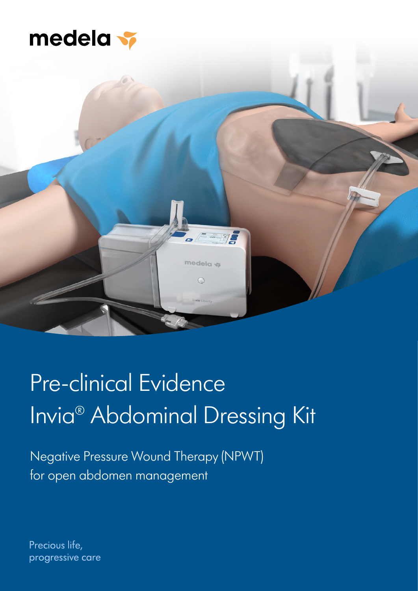



# Pre-clinical Evidence Invia® Abdominal Dressing Kit

Negative Pressure Wound Therapy (NPWT) for open abdomen management

Precious life, progressive care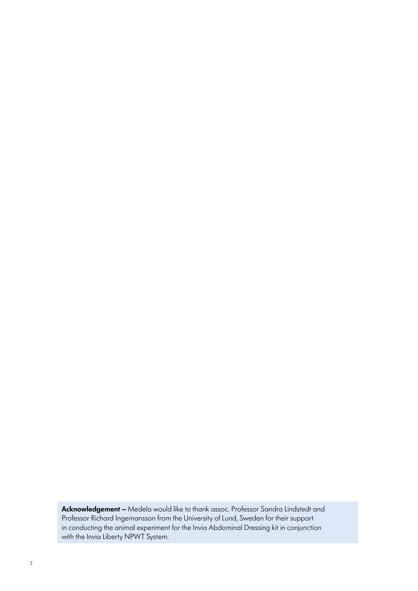**Acknowledgement –** Medela would like to thank assoc. Professor Sandra Lindstedt and Professor Richard Ingemansson from the University of Lund, Sweden for their support in conducting the animal experiment for the Invia Abdominal Dressing kit in conjunction with the Invia Liberty NPWT System.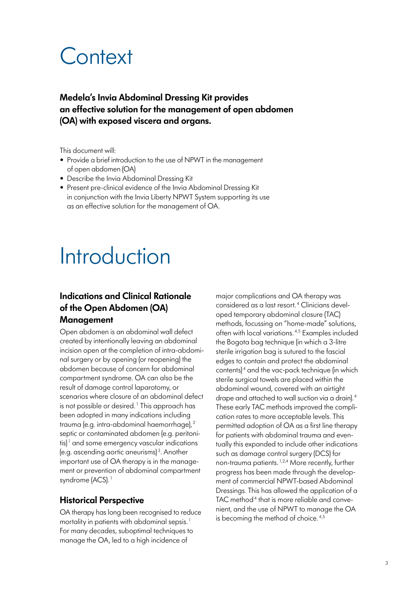## **Context**

**Medela's Invia Abdominal Dressing Kit provides an effective solution for the management of open abdomen (OA) with exposed viscera and organs.**

This document will:

- Provide a brief introduction to the use of NPWT in the management of open abdomen (OA)
- Describe the Invia Abdominal Dressing Kit
- Present pre-clinical evidence of the Invia Abdominal Dressing Kit in conjunction with the Invia Liberty NPWT System supporting its use as an effective solution for the management of OA.

## Introduction

## **Indications and Clinical Rationale of the Open Abdomen (OA) Management**

Open abdomen is an abdominal wall defect created by intentionally leaving an abdominal incision open at the completion of intra-abdominal surgery or by opening (or reopening) the abdomen because of concern for abdominal compartment syndrome. OA can also be the result of damage control laparotomy, or scenarios where closure of an abdominal defect is not possible or desired.<sup>1</sup> This approach has been adopted in many indications including trauma (e.g. intra-abdominal haemorrhage), <sup>2</sup> septic or contaminated abdomen (e.g. peritonitis) $\frac{1}{1}$  and some emergency vascular indications (e.g. ascending aortic aneurisms) <sup>3</sup> . Another important use of OA therapy is in the management or prevention of abdominal compartment syndrome (ACS).<sup>1</sup>

## **Historical Perspective**

OA therapy has long been recognised to reduce mortality in patients with abdominal sepsis.<sup>1</sup> For many decades, suboptimal techniques to manage the OA, led to a high incidence of

major complications and OA therapy was considered as a last resort. <sup>4</sup> Clinicians developed temporary abdominal closure (TAC) methods, focussing on "home-made" solutions, often with local variations. 4,5 Examples included the Bogota bag technique (in which a 3-litre sterile irrigation bag is sutured to the fascial edges to contain and protect the abdominal contents)<sup>4</sup> and the vac-pack technique (in which sterile surgical towels are placed within the abdominal wound, covered with an airtight drape and attached to wall suction via a drain). <sup>4</sup> These early TAC methods improved the complication rates to more acceptable levels. This permitted adoption of OA as a first line therapy for patients with abdominal trauma and eventually this expanded to include other indications such as damage control surgery (DCS) for non-trauma patients. 1,2,4 More recently, further progress has been made through the development of commercial NPWT-based Abdominal Dressings. This has allowed the application of a TAC method<sup>4</sup> that is more reliable and convenient, and the use of NPWT to manage the OA is becoming the method of choice.<sup>4,5</sup>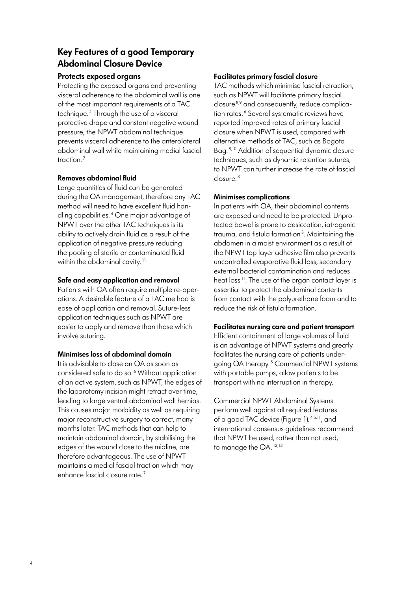## **Key Features of a good Temporary Abdominal Closure Device**

#### **Protects exposed organs**

Protecting the exposed organs and preventing visceral adherence to the abdominal wall is one of the most important requirements of a TAC technique. <sup>4</sup> Through the use of a visceral protective drape and constant negative wound pressure, the NPWT abdominal technique prevents visceral adherence to the anterolateral abdominal wall while maintaining medial fascial traction<sup>7</sup>

#### **Removes abdominal fluid**

Large quantities of fluid can be generated during the OA management, therefore any TAC method will need to have excellent fluid handling capabilities. <sup>4</sup> One major advantage of NPWT over the other TAC techniques is its ability to actively drain fluid as a result of the application of negative pressure reducing the pooling of sterile or contaminated fluid within the abdominal cavity.<sup>11</sup>

### **Safe and easy application and removal**

Patients with OA often require multiple re-operations. A desirable feature of a TAC method is ease of application and removal. Suture-less application techniques such as NPWT are easier to apply and remove than those which involve suturing.

#### **Minimises loss of abdominal domain**

It is advisable to close an OA as soon as considered safe to do so.<sup>6</sup> Without application of an active system, such as NPWT, the edges of the laparotomy incision might retract over time, leading to large ventral abdominal wall hernias. This causes major morbidity as well as requiring major reconstructive surgery to correct, many months later. TAC methods that can help to maintain abdominal domain, by stabilising the edges of the wound close to the midline, are therefore advantageous. The use of NPWT maintains a medial fascial traction which may enhance fascial closure rate. <sup>7</sup>

### **Facilitates primary fascial closure**

TAC methods which minimise fascial retraction, such as NPWT will facilitate primary fascial closure 8,9 and consequently, reduce complication rates.<sup>6</sup> Several systematic reviews have reported improved rates of primary fascial closure when NPWT is used, compared with alternative methods of TAC, such as Bogota Bag. 8,10 Addition of sequential dynamic closure techniques, such as dynamic retention sutures, to NPWT can further increase the rate of fascial closure. <sup>8</sup>

### **Minimises complications**

In patients with OA, their abdominal contents are exposed and need to be protected. Unprotected bowel is prone to desiccation, iatrogenic trauma, and fistula formation<sup>8</sup>. Maintaining the abdomen in a moist environment as a result of the NPWT top layer adhesive film also prevents uncontrolled evaporative fluid loss, secondary external bacterial contamination and reduces heat loss<sup>11</sup>. The use of the organ contact layer is essential to protect the abdominal contents from contact with the polyurethane foam and to reduce the risk of fistula formation.

#### **Facilitates nursing care and patient transport**

Efficient containment of large volumes of fluid is an advantage of NPWT systems and greatly facilitates the nursing care of patients undergoing OA therapy.<sup>8</sup> Commercial NPWT systems with portable pumps, allow patients to be transport with no interruption in therapy.

Commercial NPWT Abdominal Systems perform well against all required features of a good TAC device (Figure 1).  $45,11$ , and international consensus guidelines recommend that NPWT be used, rather than not used, to manage the OA.<sup>12,13</sup>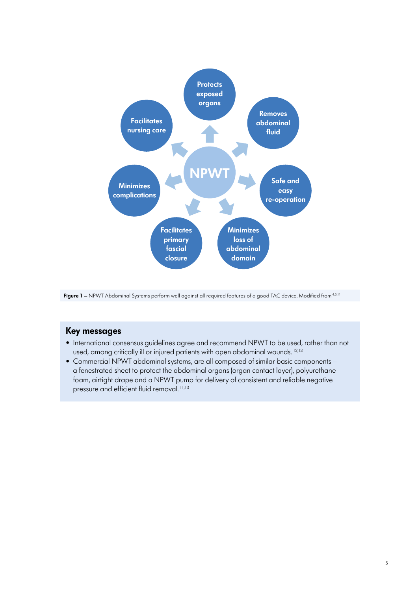



- International consensus guidelines agree and recommend NPWT to be used, rather than not used, among critically ill or injured patients with open abdominal wounds.<sup>12,13</sup>
- Commercial NPWT abdominal systems, are all composed of similar basic components a fenestrated sheet to protect the abdominal organs (organ contact layer), polyurethane foam, airtight drape and a NPWT pump for delivery of consistent and reliable negative pressure and efficient fluid removal. 11,13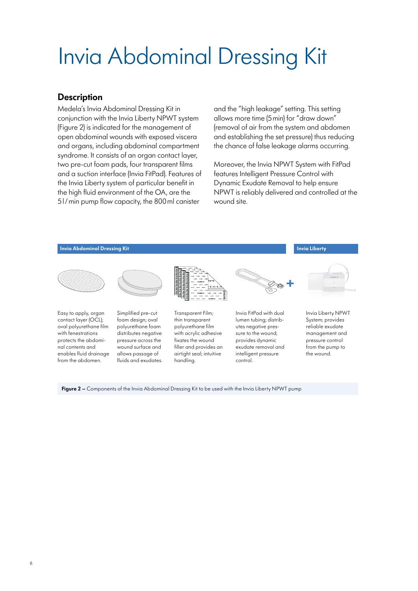# Invia Abdominal Dressing Kit

## **Description**

Medela's Invia Abdominal Dressing Kit in conjunction with the Invia Liberty NPWT system (Figure 2) is indicated for the management of open abdominal wounds with exposed viscera and organs, including abdominal compartment syndrome. It consists of an organ contact layer, two pre-cut foam pads, four transparent films and a suction interface (Invia FitPad). Features of the Invia Liberty system of particular benefit in the high fluid environment of the OA, are the 5l/min pump flow capacity, the 800ml canister

and the "high leakage" setting. This setting allows more time (5min) for "draw down" (removal of air from the system and abdomen and establishing the set pressure) thus reducing the chance of false leakage alarms occurring.

Moreover, the Invia NPWT System with FitPad features Intelligent Pressure Control with Dynamic Exudate Removal to help ensure NPWT is reliably delivered and controlled at the wound site.



**Figure 2 –** Components of the Invia Abdominal Dressing Kit to be used with the Invia Liberty NPWT pump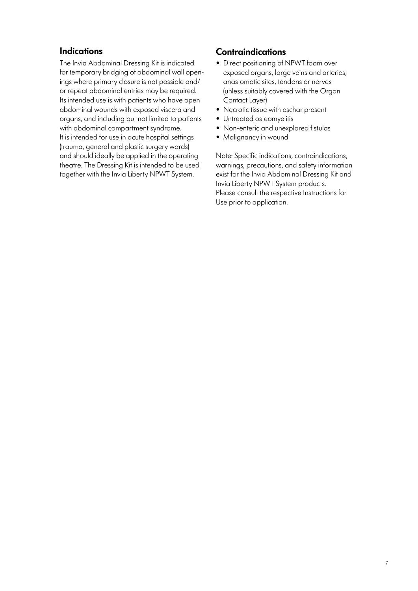## **Indications**

The Invia Abdominal Dressing Kit is indicated for temporary bridging of abdominal wall openings where primary closure is not possible and/ or repeat abdominal entries may be required. Its intended use is with patients who have open abdominal wounds with exposed viscera and organs, and including but not limited to patients with abdominal compartment syndrome. It is intended for use in acute hospital settings (trauma, general and plastic surgery wards) and should ideally be applied in the operating theatre. The Dressing Kit is intended to be used together with the Invia Liberty NPWT System.

## **Contraindications**

- Direct positioning of NPWT foam over exposed organs, large veins and arteries, anastomotic sites, tendons or nerves (unless suitably covered with the Organ Contact Layer)
- Necrotic tissue with eschar present
- Untreated osteomyelitis
- Non-enteric and unexplored fistulas
- Malignancy in wound

Note: Specific indications, contraindications, warnings, precautions, and safety information exist for the Invia Abdominal Dressing Kit and Invia Liberty NPWT System products. Please consult the respective Instructions for Use prior to application.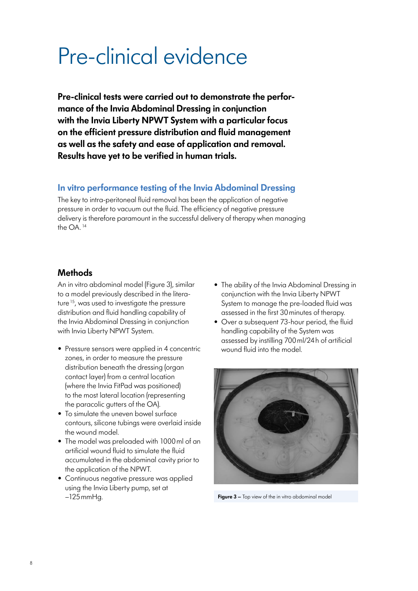## Pre-clinical evidence

**Pre-clinical tests were carried out to demonstrate the performance of the Invia Abdominal Dressing in conjunction with the Invia Liberty NPWT System with a particular focus on the efficient pressure distribution and fluid management as well as the safety and ease of application and removal. Results have yet to be verified in human trials.**

## **In vitro performance testing of the Invia Abdominal Dressing**

The key to intra-peritoneal fluid removal has been the application of negative pressure in order to vacuum out the fluid. The efficiency of negative pressure delivery is therefore paramount in the successful delivery of therapy when managing the OA.<sup>14</sup>

## **Methods**

An in vitro abdominal model (Figure 3), similar to a model previously described in the literature<sup>15</sup>, was used to investigate the pressure distribution and fluid handling capability of the Invia Abdominal Dressing in conjunction with Invia Liberty NPWT System.

- Pressure sensors were applied in 4 concentric zones, in order to measure the pressure distribution beneath the dressing (organ contact layer) from a central location (where the Invia FitPad was positioned) to the most lateral location (representing the paracolic gutters of the OA).
- To simulate the uneven bowel surface contours, silicone tubings were overlaid inside the wound model.
- The model was preloaded with 1000ml of an artificial wound fluid to simulate the fluid accumulated in the abdominal cavity prior to the application of the NPWT.
- Continuous negative pressure was applied using the Invia Liberty pump, set at –125mmHg.
- The ability of the Invia Abdominal Dressing in conjunction with the Invia Liberty NPWT System to manage the pre-loaded fluid was assessed in the first 30minutes of therapy.
- Over a subsequent 73-hour period, the fluid handling capability of the System was assessed by instilling 700ml/24h of artificial wound fluid into the model.



**Figure 3 –** Top view of the in vitro abdominal model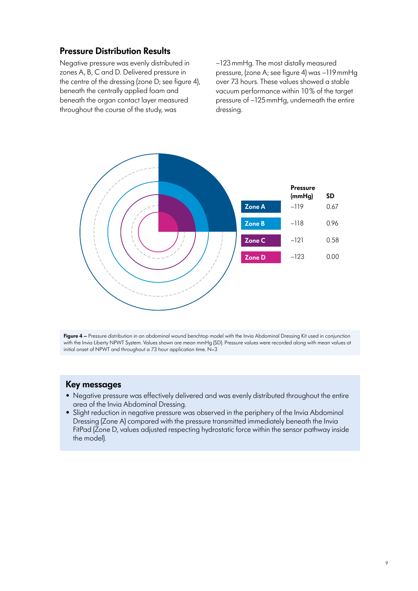## **Pressure Distribution Results**

Negative pressure was evenly distributed in zones A, B, C and D. Delivered pressure in the centre of the dressing (zone D; see figure 4), beneath the centrally applied foam and beneath the organ contact layer measured throughout the course of the study, was

–123mmHg. The most distally measured pressure, (zone A; see figure 4) was –119mmHg over 73 hours. These values showed a stable vacuum performance within 10% of the target pressure of –125mmHg, underneath the entire dressing.



**Figure 4** – Pressure distribution in an abdominal wound benchtop model with the Invia Abdominal Dressing Kit used in conjunction with the Invia Liberty NPWT System. Values shown are mean mmHg (SD). Pressure values were recorded along with mean values at initial onset of NPWT and throughout a 73 hour application time.  $N=3$ 

- Negative pressure was effectively delivered and was evenly distributed throughout the entire area of the Invia Abdominal Dressing.
- Slight reduction in negative pressure was observed in the periphery of the Invia Abdominal Dressing (Zone A) compared with the pressure transmitted immediately beneath the Invia FitPad (Zone D, values adjusted respecting hydrostatic force within the sensor pathway inside the model).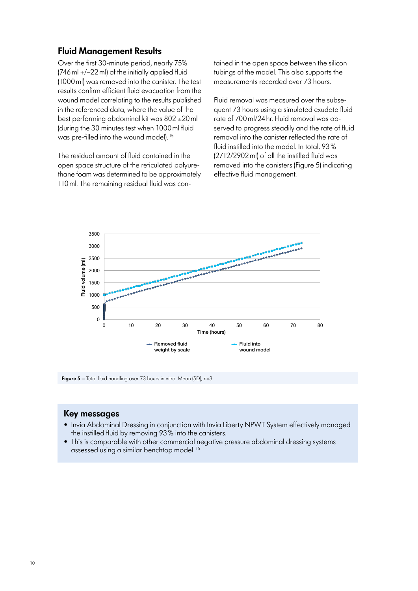### **Fluid Management Results**

Over the first 30-minute period, nearly 75% (746ml +/–22ml) of the initially applied fluid (1000ml) was removed into the canister. The test results confirm efficient fluid evacuation from the wound model correlating to the results published in the referenced data, where the value of the best performing abdominal kit was 802 ±20ml (during the 30 minutes test when 1000ml fluid was pre-filled into the wound model). <sup>15</sup>

The residual amount of fluid contained in the open space structure of the reticulated polyurethane foam was determined to be approximately 110ml. The remaining residual fluid was contained in the open space between the silicon tubings of the model. This also supports the measurements recorded over 73 hours.

Fluid removal was measured over the subsequent 73 hours using a simulated exudate fluid rate of 700ml/24hr. Fluid removal was observed to progress steadily and the rate of fluid removal into the canister reflected the rate of fluid instilled into the model. In total, 93% (2712/2902ml) of all the instilled fluid was removed into the canisters (Figure 5) indicating effective fluid management.



**Figure 5** – Total fluid handling over 73 hours in vitro. Mean (SD), n=3

- Invia Abdominal Dressing in conjunction with Invia Liberty NPWT System effectively managed the instilled fluid by removing 93% into the canisters.
- This is comparable with other commercial negative pressure abdominal dressing systems assessed using a similar benchtop model.<sup>15</sup>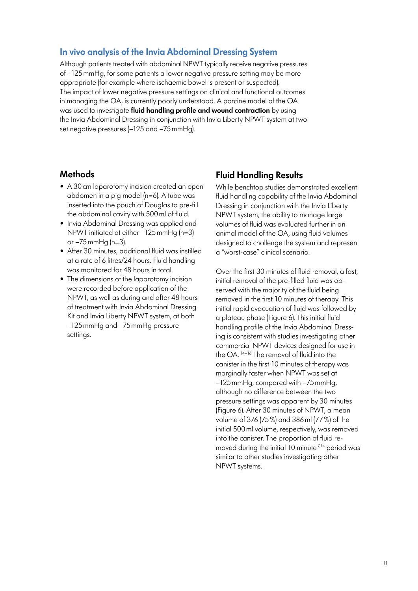### **In vivo analysis of the Invia Abdominal Dressing System**

Although patients treated with abdominal NPWT typically receive negative pressures of –125mmHg, for some patients a lower negative pressure setting may be more appropriate (for example where ischaemic bowel is present or suspected). The impact of lower negative pressure settings on clinical and functional outcomes in managing the OA, is currently poorly understood. A porcine model of the OA was used to investigate **fluid handling profile and wound contraction** by using the Invia Abdominal Dressing in conjunction with Invia Liberty NPWT system at two set negative pressures (–125 and –75mmHg).

### **Methods**

- A 30cm laparotomy incision created an open abdomen in a pig model (n=6). A tube was inserted into the pouch of Douglas to pre-fill the abdominal cavity with 500ml of fluid.
- Invia Abdominal Dressing was applied and NPWT initiated at either –125mmHg (n=3) or –75mmHg (n=3).
- After 30 minutes, additional fluid was instilled at a rate of 6 litres/24 hours. Fluid handling was monitored for 48 hours in total.
- The dimensions of the laparotomy incision were recorded before application of the NPWT, as well as during and after 48 hours of treatment with Invia Abdominal Dressing Kit and Invia Liberty NPWT system, at both –125mmHg and –75mmHg pressure settings.

## **Fluid Handling Results**

While benchtop studies demonstrated excellent fluid handling capability of the Invia Abdominal Dressing in conjunction with the Invia Liberty NPWT system, the ability to manage large volumes of fluid was evaluated further in an animal model of the OA, using fluid volumes designed to challenge the system and represent a "worst-case" clinical scenario.

Over the first 30 minutes of fluid removal, a fast, initial removal of the pre-filled fluid was observed with the majority of the fluid being removed in the first 10 minutes of therapy. This initial rapid evacuation of fluid was followed by a plateau phase (Figure 6). This initial fluid handling profile of the Invia Abdominal Dressing is consistent with studies investigating other commercial NPWT devices designed for use in the OA. 14–16 The removal of fluid into the canister in the first 10 minutes of therapy was marginally faster when NPWT was set at –125mmHg, compared with –75mmHg, although no difference between the two pressure settings was apparent by 30 minutes (Figure 6). After 30 minutes of NPWT, a mean volume of 376 (75%) and 386ml (77%) of the initial 500ml volume, respectively, was removed into the canister. The proportion of fluid removed during the initial 10 minute  $7,14$  period was similar to other studies investigating other NPWT systems.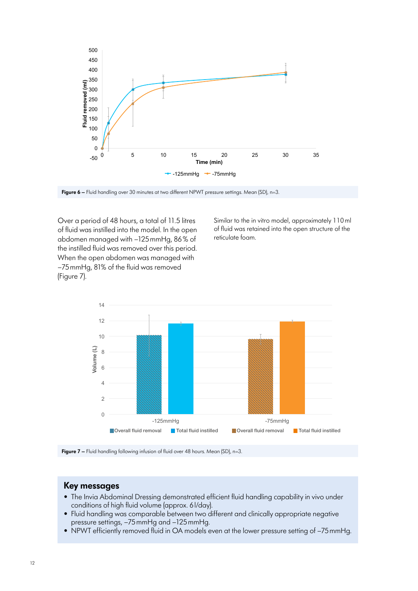

Figure 6 – Fluid handling over 30 minutes at two different NPWT pressure settings. Mean (SD), n=3.

Over a period of 48 hours, a total of 11.5 litres of fluid was instilled into the model. In the open abdomen managed with –125mmHg, 86% of the instilled fluid was removed over this period. When the open abdomen was managed with –75mmHg, 81% of the fluid was removed (Figure 7).

Similar to the in vitro model, approximately 110ml of fluid was retained into the open structure of the reticulate foam.



**Figure 7** – Fluid handling following infusion of fluid over 48 hours. Mean (SD), n=3.

- The Invia Abdominal Dressing demonstrated efficient fluid handling capability in vivo under conditions of high fluid volume (approx. 6l/day).
- Fluid handling was comparable between two different and clinically appropriate negative pressure settings, –75mmHg and –125mmHg.
- NPWT efficiently removed fluid in OA models even at the lower pressure setting of –75mmHg.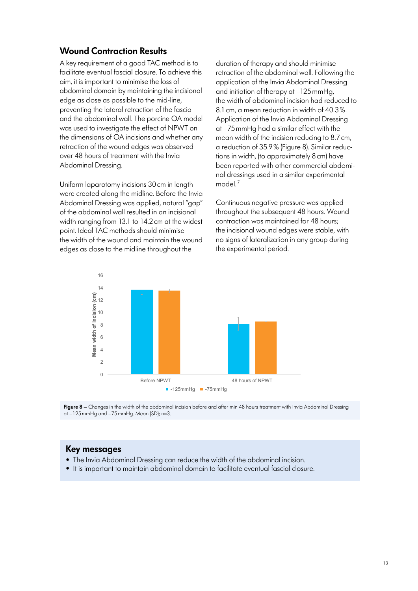## **Wound Contraction Results**

A key requirement of a good TAC method is to facilitate eventual fascial closure. To achieve this aim, it is important to minimise the loss of abdominal domain by maintaining the incisional edge as close as possible to the mid-line, preventing the lateral retraction of the fascia and the abdominal wall. The porcine OA model was used to investigate the effect of NPWT on the dimensions of OA incisions and whether any retraction of the wound edges was observed over 48 hours of treatment with the Invia Abdominal Dressing.

Uniform laparotomy incisions 30cm in length were created along the midline. Before the Invia Abdominal Dressing was applied, natural "gap" of the abdominal wall resulted in an incisional width ranging from 13.1 to 14.2cm at the widest point. Ideal TAC methods should minimise the width of the wound and maintain the wound edges as close to the midline throughout the

duration of therapy and should minimise retraction of the abdominal wall. Following the application of the Invia Abdominal Dressing and initiation of therapy at –125mmHg, the width of abdominal incision had reduced to 8.1cm, a mean reduction in width of 40.3%. Application of the Invia Abdominal Dressing at –75mmHg had a similar effect with the mean width of the incision reducing to 8.7cm, a reduction of 35.9% (Figure 8). Similar reductions in width, (to approximately 8cm) have been reported with other commercial abdominal dressings used in a similar experimental model $^7$ 

Continuous negative pressure was applied throughout the subsequent 48 hours. Wound contraction was maintained for 48 hours; the incisional wound edges were stable, with no signs of lateralization in any group during the experimental period.





- The Invia Abdominal Dressing can reduce the width of the abdominal incision.
- It is important to maintain abdominal domain to facilitate eventual fascial closure.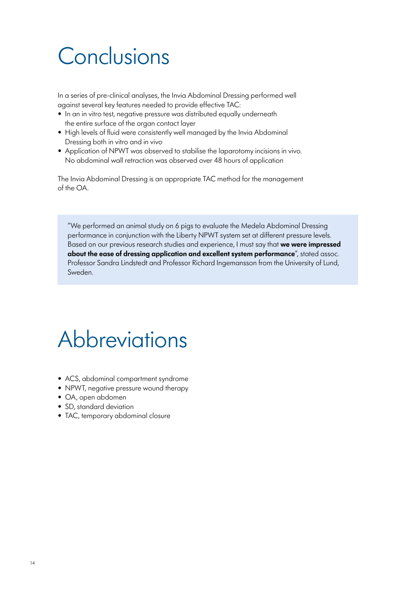# **Conclusions**

In a series of pre-clinical analyses, the Invia Abdominal Dressing performed well against several key features needed to provide effective TAC:

- In an in vitro test, negative pressure was distributed equally underneath the entire surface of the organ contact layer
- High levels of fluid were consistently well managed by the Invia Abdominal Dressing both in vitro and in vivo
- Application of NPWT was observed to stabilise the laparotomy incisions in vivo. No abdominal wall retraction was observed over 48 hours of application

The Invia Abdominal Dressing is an appropriate TAC method for the management of the OA.

"We performed an animal study on 6 pigs to evaluate the Medela Abdominal Dressing performance in conjunction with the Liberty NPWT system set at different pressure levels. Based on our previous research studies and experience, I must say that **we were impressed about the ease of dressing application and excellent system performance**", stated assoc. Professor Sandra Lindstedt and Professor Richard Ingemansson from the University of Lund, Sweden.

## **Abbreviations**

- ACS, abdominal compartment syndrome
- NPWT, negative pressure wound therapy
- OA, open abdomen
- SD, standard deviation
- TAC, temporary abdominal closure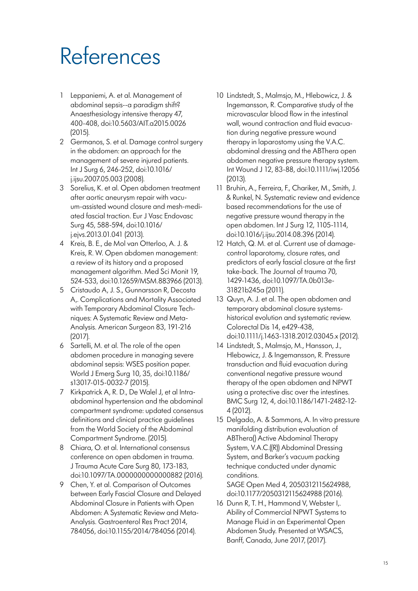# References

- 1 Leppaniemi, A. et al. Management of abdominal sepsis--a paradigm shift? Anaesthesiology intensive therapy 47, 400-408, doi:10.5603/AIT.a2015.0026 (2015).
- 2 Germanos, S. et al. Damage control surgery in the abdomen: an approach for the management of severe injured patients. Int J Surg 6, 246-252, doi:10.1016/ j.ijsu.2007.05.003 (2008).
- 3 Sorelius, K. et al. Open abdomen treatment after aortic aneurysm repair with vacuum-assisted wound closure and mesh-mediated fascial traction. Eur J Vasc Endovasc Surg 45, 588-594, doi:10.1016/ j.ejvs.2013.01.041 (2013).
- 4 Kreis, B. E., de Mol van Otterloo, A. J. & Kreis, R. W. Open abdomen management: a review of its history and a proposed management algorithm. Med Sci Monit 19, 524-533, doi:10.12659/MSM.883966 (2013).
- 5 Cristaudo A, J. S., Gunnarsson R, Decosta A,. Complications and Mortality Associated with Temporary Abdominal Closure Techniques: A Systematic Review and Meta-Analysis. American Surgeon 83, 191-216 (2017).
- 6 Sartelli, M. et al. The role of the open abdomen procedure in managing severe abdominal sepsis: WSES position paper. World J Emerg Surg 10, 35, doi:10.1186/ s13017-015-0032-7 (2015).
- 7 Kirkpatrick A, R. D., De Walel J, et al Intraabdominal hypertension and the abdominal compartment syndrome: updated consensus definitions and clinical practice guidelines from the World Society of the Abdominal Compartment Syndrome. (2015).
- 8 Chiara, O. et al. International consensus conference on open abdomen in trauma. J Trauma Acute Care Surg 80, 173-183, doi:10.1097/TA.0000000000000882 (2016).
- 9 Chen, Y. et al. Comparison of Outcomes between Early Fascial Closure and Delayed Abdominal Closure in Patients with Open Abdomen: A Systematic Review and Meta-Analysis. Gastroenterol Res Pract 2014, 784056, doi:10.1155/2014/784056 (2014).
- 10 Lindstedt, S., Malmsjo, M., Hlebowicz, J. & Ingemansson, R. Comparative study of the microvascular blood flow in the intestinal wall, wound contraction and fluid evacuation during negative pressure wound therapy in laparostomy using the V.A.C. abdominal dressing and the ABThera open abdomen negative pressure therapy system. Int Wound J 12, 83-88, doi:10.1111/iwj.12056 (2013).
- 11 Bruhin, A., Ferreira, F., Chariker, M., Smith, J. & Runkel, N. Systematic review and evidence based recommendations for the use of negative pressure wound therapy in the open abdomen. Int J Surg 12, 1105-1114, doi:10.1016/j.ijsu.2014.08.396 (2014).
- 12 Hatch, Q. M. et al. Current use of damagecontrol laparotomy, closure rates, and predictors of early fascial closure at the first take-back. The Journal of trauma 70, 1429-1436, doi:10.1097/TA.0b013e-31821b245a (2011).
- 13 Quyn, A. J. et al. The open abdomen and temporary abdominal closure systemshistorical evolution and systematic review. Colorectal Dis 14, e429-438, doi:10.1111/j.1463-1318.2012.03045.x (2012).
- 14 Lindstedt, S., Malmsjo, M., Hansson, J., Hlebowicz, J. & Ingemansson, R. Pressure transduction and fluid evacuation during conventional negative pressure wound therapy of the open abdomen and NPWT using a protective disc over the intestines. BMC Surg 12, 4, doi:10.1186/1471-2482-12- 4 (2012).
- 15 Delgado, A. & Sammons, A. In vitro pressure manifolding distribution evaluation of ABThera() Active Abdominal Therapy System, V.A.C.((R)) Abdominal Dressing System, and Barker's vacuum packing technique conducted under dynamic conditions.

SAGE Open Med 4, 2050312115624988, doi:10.1177/2050312115624988 (2016).

16 Dunn R, T. H., Hammond V, Webster I,. Ability of Commercial NPWT Systems to Manage Fluid in an Experimental Open Abdomen Study. Presented at WSACS, Banff, Canada, June 2017, (2017).